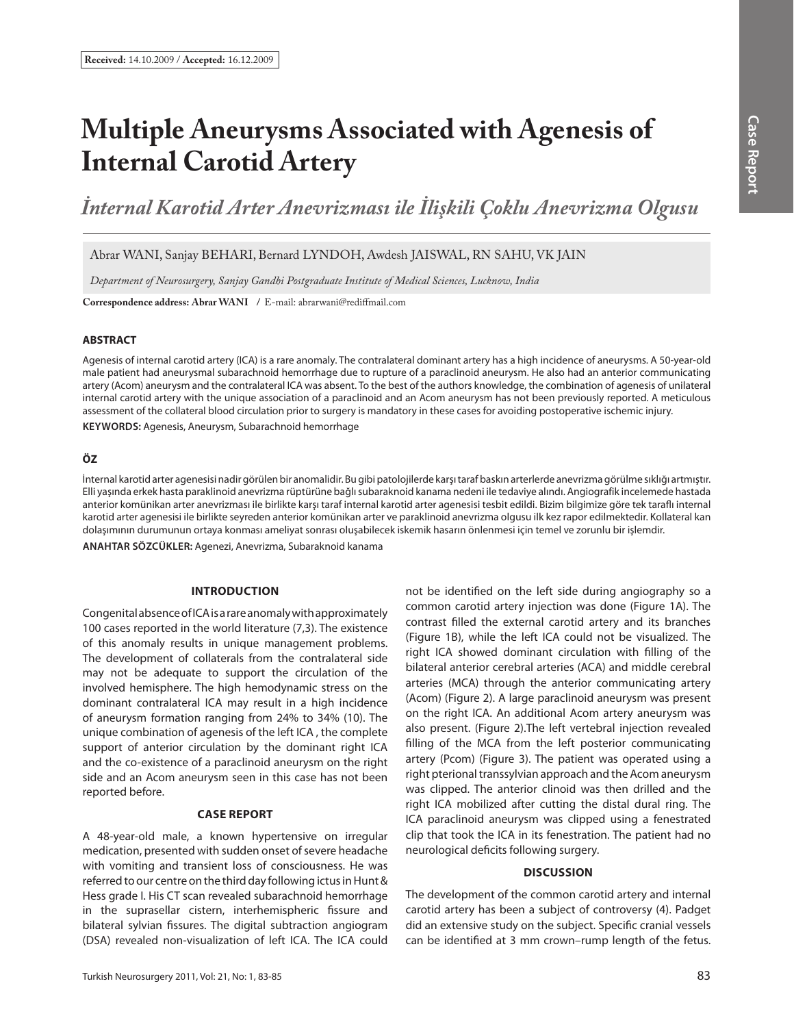# **Multiple Aneurysms Associated with Agenesis of Internal Carotid Artery**

*İnternal Karotid Arter Anevrizması ile İlişkili Çoklu Anevrizma Olgusu*

Abrar WANI, Sanjay BEHARI, Bernard LYNDOH, Awdesh JAISWAL, RN SAHU, VK JAIN

*Department of Neurosurgery, Sanjay Gandhi Postgraduate Institute of Medical Sciences, Lucknow, India*

Correspondence address: Abrar WANI / E-mail: abrarwani@rediffmail.com

### **ABSTRACT**

Agenesis of internal carotid artery (ICA) is a rare anomaly. The contralateral dominant artery has a high incidence of aneurysms. A 50-year-old male patient had aneurysmal subarachnoid hemorrhage due to rupture of a paraclinoid aneurysm. He also had an anterior communicating artery (Acom) aneurysm and the contralateral ICA was absent. To the best of the authors knowledge, the combination of agenesis of unilateral internal carotid artery with the unique association of a paraclinoid and an Acom aneurysm has not been previously reported. A meticulous assessment of the collateral blood circulation prior to surgery is mandatory in these cases for avoiding postoperative ischemic injury.

**KEYWORDS:** Agenesis, Aneurysm, Subarachnoid hemorrhage

## **ÖZ**

İnternal karotid arter agenesisi nadir görülen bir anomalidir. Bu gibi patolojilerde karşı taraf baskın arterlerde anevrizma görülme sıklığı artmıştır. Elli yaşında erkek hasta paraklinoid anevrizma rüptürüne bağlı subaraknoid kanama nedeni ile tedaviye alındı. Angiografik incelemede hastada anterior komünikan arter anevrizması ile birlikte karşı taraf internal karotid arter agenesisi tesbit edildi. Bizim bilgimize göre tek tarafl ı internal karotid arter agenesisi ile birlikte seyreden anterior komünikan arter ve paraklinoid anevrizma olgusu ilk kez rapor edilmektedir. Kollateral kan dolaşımının durumunun ortaya konması ameliyat sonrası oluşabilecek iskemik hasarın önlenmesi için temel ve zorunlu bir işlemdir.

**ANAHTAR SÖZCÜKLER:** Agenezi, Anevrizma, Subaraknoid kanama

### **INTRODUCTION**

Congenital absence of ICA is a rare anomaly with approximately 100 cases reported in the world literature (7,3). The existence of this anomaly results in unique management problems. The development of collaterals from the contralateral side may not be adequate to support the circulation of the involved hemisphere. The high hemodynamic stress on the dominant contralateral ICA may result in a high incidence of aneurysm formation ranging from 24% to 34% (10). The unique combination of agenesis of the left ICA , the complete support of anterior circulation by the dominant right ICA and the co-existence of a paraclinoid aneurysm on the right side and an Acom aneurysm seen in this case has not been reported before.

### **CASE REPORT**

A 48-year-old male, a known hypertensive on irregular medication, presented with sudden onset of severe headache with vomiting and transient loss of consciousness. He was referred to our centre on the third day following ictus in Hunt & Hess grade I. His CT scan revealed subarachnoid hemorrhage in the suprasellar cistern, interhemispheric fissure and bilateral sylvian fissures. The digital subtraction angiogram (DSA) revealed non-visualization of left ICA. The ICA could not be identified on the left side during angiography so a common carotid artery injection was done (Figure 1A). The contrast filled the external carotid artery and its branches (Figure 1B), while the left ICA could not be visualized. The right ICA showed dominant circulation with filling of the bilateral anterior cerebral arteries (ACA) and middle cerebral arteries (MCA) through the anterior communicating artery (Acom) (Figure 2). A large paraclinoid aneurysm was present on the right ICA. An additional Acom artery aneurysm was also present. (Figure 2).The left vertebral injection revealed filling of the MCA from the left posterior communicating artery (Pcom) (Figure 3). The patient was operated using a right pterional transsylvian approach and the Acom aneurysm was clipped. The anterior clinoid was then drilled and the right ICA mobilized after cutting the distal dural ring. The ICA paraclinoid aneurysm was clipped using a fenestrated clip that took the ICA in its fenestration. The patient had no neurological deficits following surgery.

### **DISCUSSION**

The development of the common carotid artery and internal carotid artery has been a subject of controversy (4). Padget did an extensive study on the subject. Specific cranial vessels can be identified at 3 mm crown–rump length of the fetus.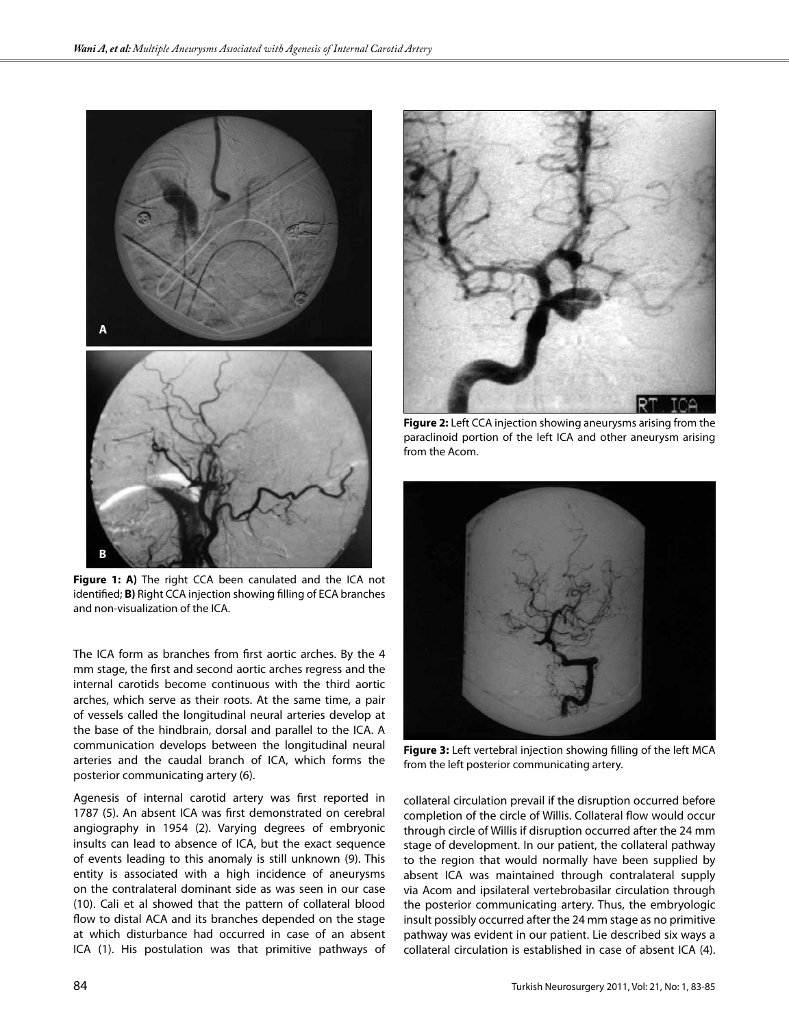

**Figure 1: A)** The right CCA been canulated and the ICA not identified; **B)** Right CCA injection showing filling of ECA branches and non-visualization of the ICA.

The ICA form as branches from first aortic arches. By the 4 mm stage, the first and second aortic arches regress and the internal carotids become continuous with the third aortic arches, which serve as their roots. At the same time, a pair of vessels called the longitudinal neural arteries develop at the base of the hindbrain, dorsal and parallel to the ICA. A communication develops between the longitudinal neural arteries and the caudal branch of ICA, which forms the posterior communicating artery (6).

Agenesis of internal carotid artery was first reported in 1787 (5). An absent ICA was first demonstrated on cerebral angiography in 1954 (2). Varying degrees of embryonic insults can lead to absence of ICA, but the exact sequence of events leading to this anomaly is still unknown (9). This entity is associated with a high incidence of aneurysms on the contralateral dominant side as was seen in our case (10). Cali et al showed that the pattern of collateral blood flow to distal ACA and its branches depended on the stage at which disturbance had occurred in case of an absent ICA (1). His postulation was that primitive pathways of



**Figure 2:** Left CCA injection showing aneurysms arising from the paraclinoid portion of the left ICA and other aneurysm arising from the Acom.



**Figure 3:** Left vertebral injection showing filling of the left MCA from the left posterior communicating artery.

collateral circulation prevail if the disruption occurred before completion of the circle of Willis. Collateral flow would occur through circle of Willis if disruption occurred after the 24 mm stage of development. In our patient, the collateral pathway to the region that would normally have been supplied by absent ICA was maintained through contralateral supply via Acom and ipsilateral vertebrobasilar circulation through the posterior communicating artery. Thus, the embryologic insult possibly occurred after the 24 mm stage as no primitive pathway was evident in our patient. Lie described six ways a collateral circulation is established in case of absent ICA (4).